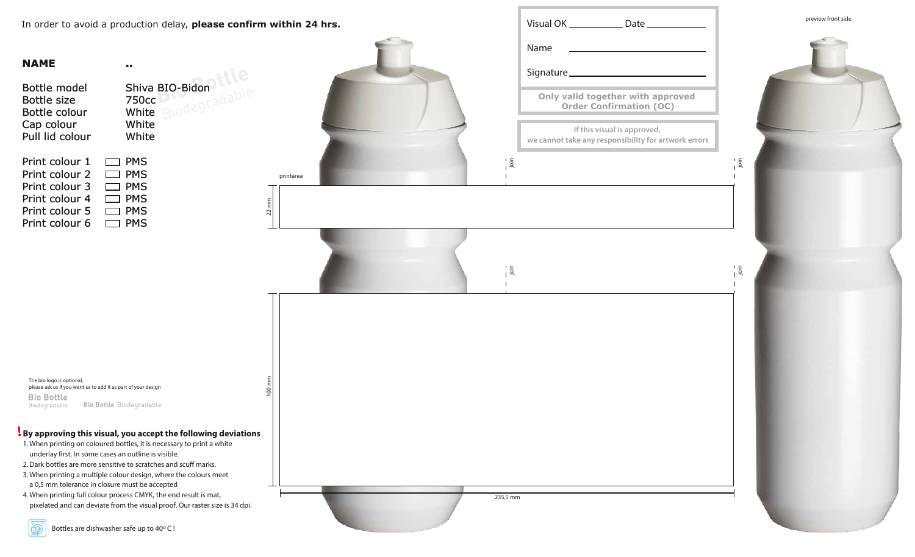In order to avoid a production delay, **please confirm within 24 hrs.**

| Bottle model<br><b>Bottle size</b><br>Bottle colour<br>Cap colour<br>Pull lid colour | Shiva BIO-Bidon<br>750 <sub>cc</sub><br>Rinde<br>White<br>White<br>White |
|--------------------------------------------------------------------------------------|--------------------------------------------------------------------------|
| Print colour 1                                                                       | <b>PMS</b>                                                               |
| Print colour 2                                                                       | <b>PMS</b>                                                               |
| Print colour 3                                                                       | <b>PMS</b>                                                               |
| Print colour 4                                                                       | <b>PMS</b>                                                               |
| Print colour 5                                                                       | <b>PMS</b>                                                               |
| Print colour 6                                                                       | PMS                                                                      |

**..**

The bio logo is optional, please ask us if you want us to add it as part of your design **Bio Bottle Bio Bottle Biodegradable** Biodegradable



## **By approving this visual, you accept the following deviations !**

- 1. When printing on coloured bottles, it is necessary to print a white underlay first. In some cases an outline is visible.
- 2. Dark bottles are more sensitive to scratches and scuff marks.
- 3. When printing a multiple colour design, where the colours meet a 0,5 mm tolerance in closure must be accepted
- 4. When printing full colour process CMYK, the end result is mat, pixelated and can deviate from the visual proof. Our raster size is 34 dpi.

**P**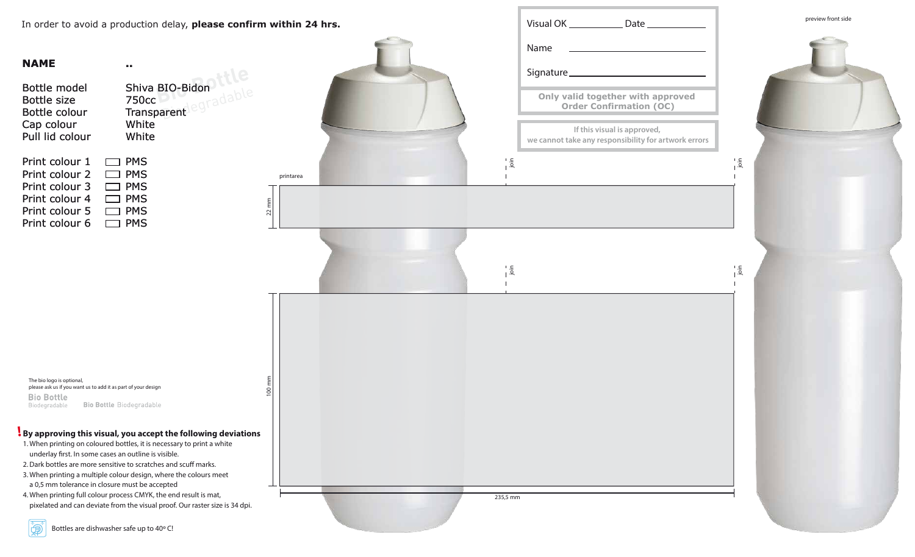In order to avoid a production delay, **please confirm within 24 hrs.**



| In order to avoid a production delay, <b>please confirm within 24 nrs.</b>                                                                                                                                                                                                                                                |                                                               |                      |  | visual UN.                    |                                                        |
|---------------------------------------------------------------------------------------------------------------------------------------------------------------------------------------------------------------------------------------------------------------------------------------------------------------------------|---------------------------------------------------------------|----------------------|--|-------------------------------|--------------------------------------------------------|
| <b>NAME</b><br>. .<br>Bottle model<br><b>Bottle size</b><br>Bottle colour                                                                                                                                                                                                                                                 | Shiva BIO-Bidon<br>750cc<br>Transparent                       |                      |  |                               | Name<br>Signature.<br><b>Only va</b><br>$\overline{O}$ |
| Cap colour<br>Pull lid colour                                                                                                                                                                                                                                                                                             | White<br>White                                                |                      |  |                               | we cannot ta                                           |
| Print colour 1<br><b>PMS</b><br>Print colour 2<br><b>PMS</b><br>Print colour 3<br><b>PMS</b><br>Print colour 4<br><b>PMS</b><br>Print colour 5<br><b>PMS</b><br>Print colour 6<br><b>PMS</b>                                                                                                                              |                                                               | printarea<br>$22$ mm |  | $\frac{1}{1}$ . $\frac{5}{1}$ |                                                        |
|                                                                                                                                                                                                                                                                                                                           |                                                               |                      |  | $\frac{1}{10}$                |                                                        |
| The bio logo is optional,<br>please ask us if you want us to add it as part of your design<br><b>Bio Bottle</b><br><b>Bio Bottle Biodegradable</b><br>Biodegradable                                                                                                                                                       |                                                               | 100 mm               |  |                               |                                                        |
| 1. When printing on coloured bottles, it is necessary to print a white<br>underlay first. In some cases an outline is visible.<br>2. Dark bottles are more sensitive to scratches and scuff marks.<br>3. When printing a multiple colour design, where the colours meet<br>a 0,5 mm tolerance in closure must be accepted | By approving this visual, you accept the following deviations |                      |  |                               |                                                        |

4. When printing full colour process CMYK, the end result is mat, pixelated and can deviate from the visual proof. Our raster size is 34 dpi.